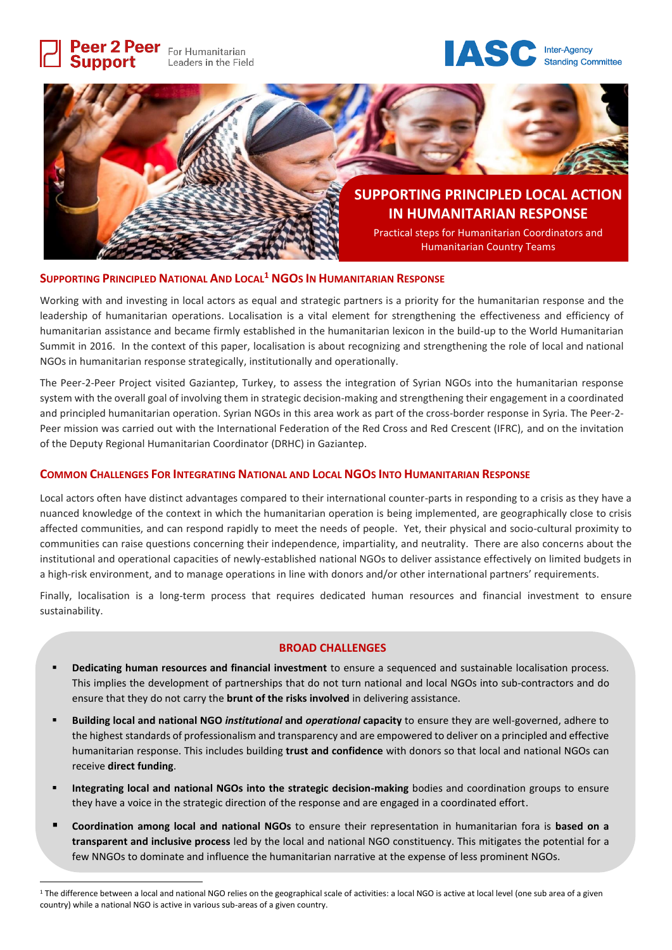

## **SUPPORTING PRINCIPLED NATIONAL AND LOCAL<sup>1</sup> NGOS IN HUMANITARIAN RESPONSE**

Working with and investing in local actors as equal and strategic partners is a priority for the humanitarian response and the leadership of humanitarian operations. Localisation is a vital element for strengthening the effectiveness and efficiency of humanitarian assistance and became firmly established in the humanitarian lexicon in the build-up to the World Humanitarian Summit in 2016. In the context of this paper, localisation is about recognizing and strengthening the role of local and national NGOs in humanitarian response strategically, institutionally and operationally.

The Peer-2-Peer Project visited Gaziantep, Turkey, to assess the integration of Syrian NGOs into the humanitarian response system with the overall goal of involving them in strategic decision-making and strengthening their engagement in a coordinated and principled humanitarian operation. Syrian NGOs in this area work as part of the cross-border response in Syria. The Peer-2- Peer mission was carried out with the International Federation of the Red Cross and Red Crescent (IFRC), and on the invitation of the Deputy Regional Humanitarian Coordinator (DRHC) in Gaziantep.

## **COMMON CHALLENGES FOR INTEGRATING NATIONAL AND LOCAL NGOS INTO HUMANITARIAN RESPONSE**

Local actors often have distinct advantages compared to their international counter-parts in responding to a crisis as they have a nuanced knowledge of the context in which the humanitarian operation is being implemented, are geographically close to crisis affected communities, and can respond rapidly to meet the needs of people. Yet, their physical and socio-cultural proximity to communities can raise questions concerning their independence, impartiality, and neutrality. There are also concerns about the institutional and operational capacities of newly-established national NGOs to deliver assistance effectively on limited budgets in a high-risk environment, and to manage operations in line with donors and/or other international partners' requirements.

Finally, localisation is a long-term process that requires dedicated human resources and financial investment to ensure sustainability.

## **BROAD CHALLENGES**

- **Dedicating human resources and financial investment** to ensure a sequenced and sustainable localisation process. This implies the development of partnerships that do not turn national and local NGOs into sub-contractors and do ensure that they do not carry the **brunt of the risks involved** in delivering assistance.
- **Building local and national NGO** *institutional* **and** *operational* **capacity** to ensure they are well-governed, adhere to the highest standards of professionalism and transparency and are empowered to deliver on a principled and effective humanitarian response. This includes building **trust and confidence** with donors so that local and national NGOs can receive **direct funding**.
- **Integrating local and national NGOs into the strategic decision-making** bodies and coordination groups to ensure they have a voice in the strategic direction of the response and are engaged in a coordinated effort.
- **Coordination among local and national NGOs** to ensure their representation in humanitarian fora is **based on a transparent and inclusive process** led by the local and national NGO constituency. This mitigates the potential for a few NNGOs to dominate and influence the humanitarian narrative at the expense of less prominent NGOs.

 $\overline{a}$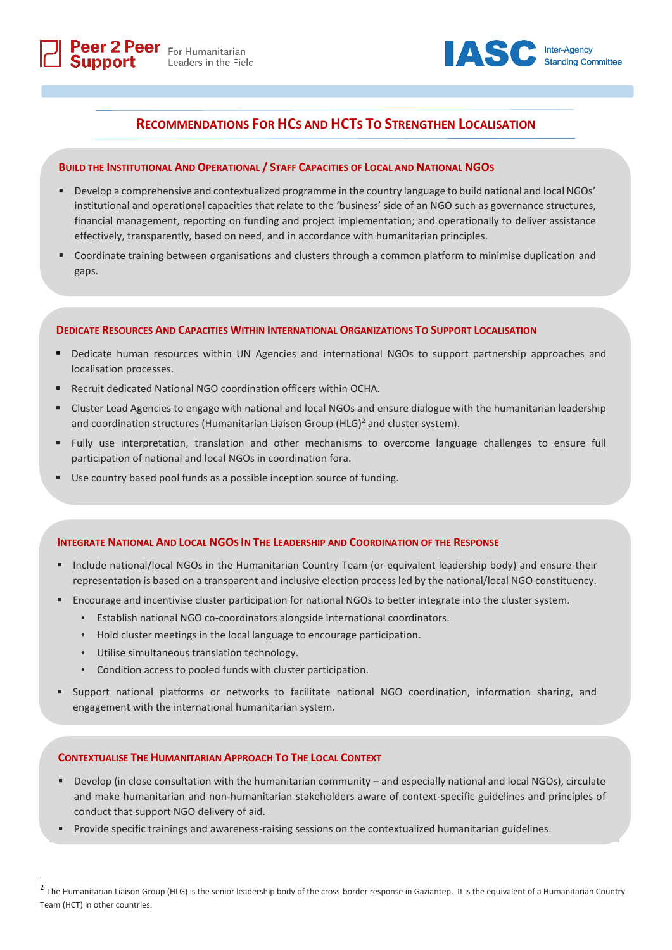

# **RECOMMENDATIONS FOR HCS AND HCTS TO STRENGTHEN LOCALISATION**

## **BUILD THE INSTITUTIONAL AND OPERATIONAL / STAFF CAPACITIES OF LOCAL AND NATIONAL NGOS**

- Develop a comprehensive and contextualized programme in the country language to build national and local NGOs' institutional and operational capacities that relate to the 'business' side of an NGO such as governance structures, financial management, reporting on funding and project implementation; and operationally to deliver assistance effectively, transparently, based on need, and in accordance with humanitarian principles.
- Coordinate training between organisations and clusters through a common platform to minimise duplication and gaps.

## **DEDICATE RESOURCES AND CAPACITIES WITHIN INTERNATIONAL ORGANIZATIONS TO SUPPORT LOCALISATION**

- Dedicate human resources within UN Agencies and international NGOs to support partnership approaches and localisation processes.
- Recruit dedicated National NGO coordination officers within OCHA.
- Cluster Lead Agencies to engage with national and local NGOs and ensure dialogue with the humanitarian leadership and coordination structures (Humanitarian Liaison Group (HLG)<sup>2</sup> and cluster system).
- Fully use interpretation, translation and other mechanisms to overcome language challenges to ensure full participation of national and local NGOs in coordination fora.
- Use country based pool funds as a possible inception source of funding.

#### **INTEGRATE NATIONAL AND LOCAL NGOS IN THE LEADERSHIP AND COORDINATION OF THE RESPONSE**

- Include national/local NGOs in the Humanitarian Country Team (or equivalent leadership body) and ensure their representation is based on a transparent and inclusive election process led by the national/local NGO constituency.
- Encourage and incentivise cluster participation for national NGOs to better integrate into the cluster system.
	- Establish national NGO co-coordinators alongside international coordinators.
	- Hold cluster meetings in the local language to encourage participation.
	- Utilise simultaneous translation technology.

 $\overline{a}$ 

- Condition access to pooled funds with cluster participation.
- Support national platforms or networks to facilitate national NGO coordination, information sharing, and engagement with the international humanitarian system.

## **CONTEXTUALISE THE HUMANITARIAN APPROACH TO THE LOCAL CONTEXT**

- Develop (in close consultation with the humanitarian community and especially national and local NGOs), circulate and make humanitarian and non-humanitarian stakeholders aware of context-specific guidelines and principles of conduct that support NGO delivery of aid.
- **•** Provide specific trainings and awareness-raising sessions on the contextualized humanitarian guidelines.

<sup>&</sup>lt;sup>2</sup> The Humanitarian Liaison Group (HLG) is the senior leadership body of the cross-border response in Gaziantep. It is the equivalent of a Humanitarian Country Team (HCT) in other countries.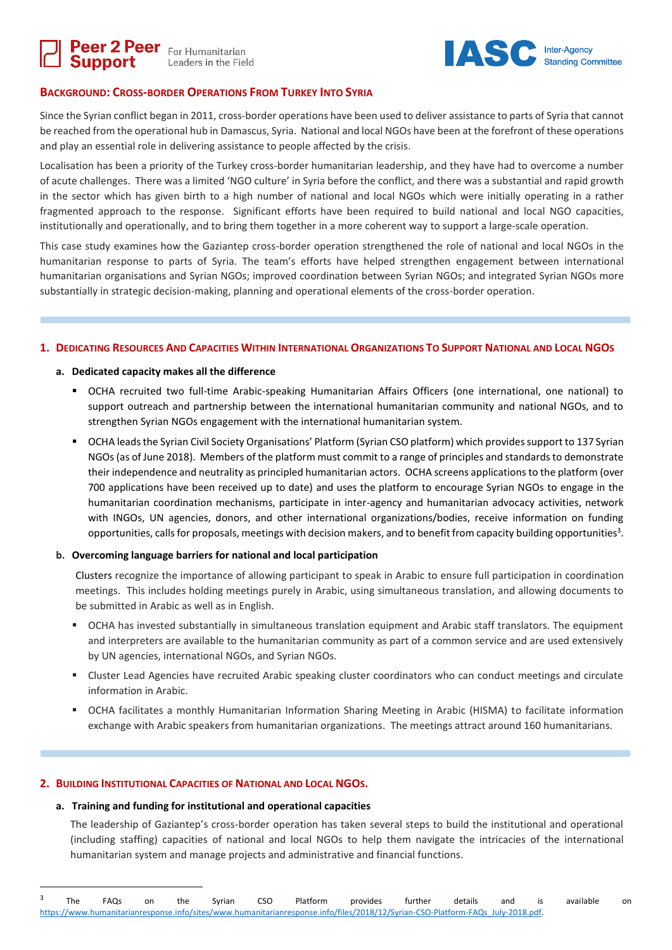



# **BACKGROUND: CROSS-BORDER OPERATIONS FROM TURKEY INTO SYRIA**

Since the Syrian conflict began in 2011, cross-border operations have been used to deliver assistance to parts of Syria that cannot be reached from the operational hub in Damascus, Syria. National and local NGOs have been at the forefront of these operations and play an essential role in delivering assistance to people affected by the crisis.

Localisation has been a priority of the Turkey cross-border humanitarian leadership, and they have had to overcome a number of acute challenges. There was a limited 'NGO culture' in Syria before the conflict, and there was a substantial and rapid growth in the sector which has given birth to a high number of national and local NGOs which were initially operating in a rather fragmented approach to the response. Significant efforts have been required to build national and local NGO capacities, institutionally and operationally, and to bring them together in a more coherent way to support a large-scale operation.

This case study examines how the Gaziantep cross-border operation strengthened the role of national and local NGOs in the humanitarian response to parts of Syria. The team's efforts have helped strengthen engagement between international humanitarian organisations and Syrian NGOs; improved coordination between Syrian NGOs; and integrated Syrian NGOs more substantially in strategic decision-making, planning and operational elements of the cross-border operation.

## 1. DEDICATING RESOURCES AND CAPACITIES WITHIN INTERNATIONAL ORGANIZATIONS TO SUPPORT NATIONAL AND LOCAL NGOS

## **a. Dedicated capacity makes all the difference**

- OCHA recruited two full-time Arabic-speaking Humanitarian Affairs Officers (one international, one national) to support outreach and partnership between the international humanitarian community and national NGOs, and to strengthen Syrian NGOs engagement with the international humanitarian system.
- OCHA leadsthe Syrian Civil Society Organisations' Platform (Syrian CSO platform) which provides support to 137 Syrian NGOs(as of June 2018). Members of the platform must commit to a range of principles and standards to demonstrate their independence and neutrality as principled humanitarian actors. OCHA screens applications to the platform (over 700 applications have been received up to date) and uses the platform to encourage Syrian NGOs to engage in the humanitarian coordination mechanisms, participate in inter-agency and humanitarian advocacy activities, network with INGOs, UN agencies, donors, and other international organizations/bodies, receive information on funding opportunities, calls for proposals, meetings with decision makers, and to benefit from capacity building opportunities<sup>3</sup>.

#### **b. Overcoming language barriers for national and local participation**

Clusters recognize the importance of allowing participant to speak in Arabic to ensure full participation in coordination meetings. This includes holding meetings purely in Arabic, using simultaneous translation, and allowing documents to be submitted in Arabic as well as in English.

- OCHA has invested substantially in simultaneous translation equipment and Arabic staff translators. The equipment and interpreters are available to the humanitarian community as part of a common service and are used extensively by UN agencies, international NGOs, and Syrian NGOs.
- **EXECUSTER LEAD Agencies have recruited Arabic speaking cluster coordinators who can conduct meetings and circulate** information in Arabic.
- OCHA facilitates a monthly Humanitarian Information Sharing Meeting in Arabic (HISMA) to facilitate information exchange with Arabic speakers from humanitarian organizations. The meetings attract around 160 humanitarians.

## **2. BUILDING INSTITUTIONAL CAPACITIES OF NATIONAL AND LOCAL NGOS.**

 $\overline{a}$ 

#### **a. Training and funding for institutional and operational capacities**

The leadership of Gaziantep's cross-border operation has taken several steps to build the institutional and operational (including staffing) capacities of national and local NGOs to help them navigate the intricacies of the international humanitarian system and manage projects and administrative and financial functions.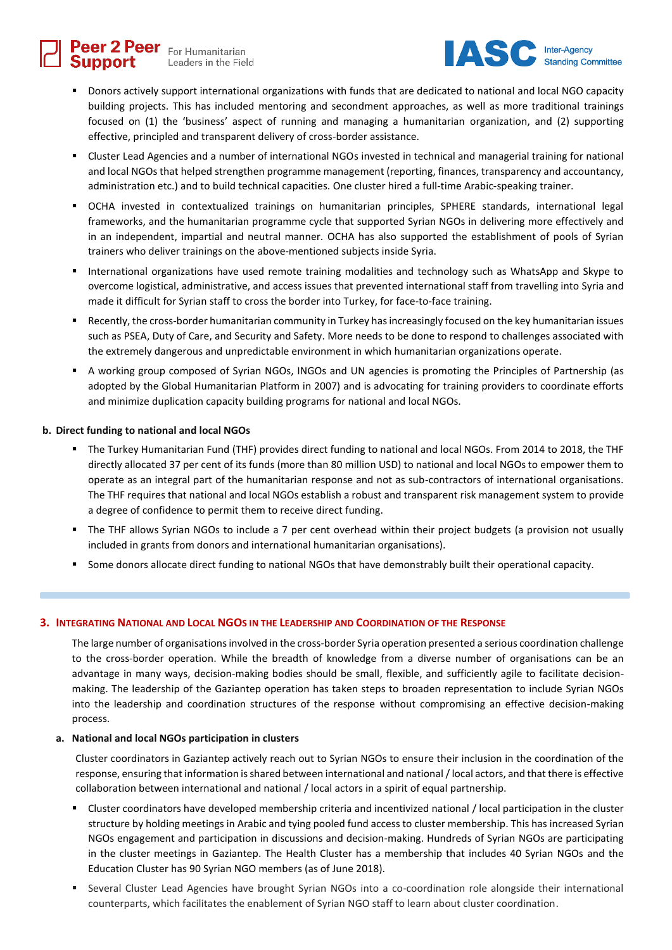Peer 2 Peer For Humanitarian Leaders in the Field



- Donors actively support international organizations with funds that are dedicated to national and local NGO capacity building projects. This has included mentoring and secondment approaches, as well as more traditional trainings focused on (1) the 'business' aspect of running and managing a humanitarian organization, and (2) supporting effective, principled and transparent delivery of cross-border assistance.
- Cluster Lead Agencies and a number of international NGOs invested in technical and managerial training for national and local NGOs that helped strengthen programme management (reporting, finances, transparency and accountancy, administration etc.) and to build technical capacities. One cluster hired a full-time Arabic-speaking trainer.
- OCHA invested in contextualized trainings on humanitarian principles, SPHERE standards, international legal frameworks, and the humanitarian programme cycle that supported Syrian NGOs in delivering more effectively and in an independent, impartial and neutral manner. OCHA has also supported the establishment of pools of Syrian trainers who deliver trainings on the above-mentioned subjects inside Syria.
- International organizations have used remote training modalities and technology such as WhatsApp and Skype to overcome logistical, administrative, and access issues that prevented international staff from travelling into Syria and made it difficult for Syrian staff to cross the border into Turkey, for face-to-face training.
- Recently, the cross-border humanitarian community in Turkey has increasingly focused on the key humanitarian issues such as PSEA, Duty of Care, and Security and Safety. More needs to be done to respond to challenges associated with the extremely dangerous and unpredictable environment in which humanitarian organizations operate.
- A working group composed of Syrian NGOs, INGOs and UN agencies is promoting the Principles of Partnership (as adopted by the Global Humanitarian Platform in 2007) and is advocating for training providers to coordinate efforts and minimize duplication capacity building programs for national and local NGOs.

## **b. Direct funding to national and local NGOs**

- The Turkey Humanitarian Fund (THF) provides direct funding to national and local NGOs. From 2014 to 2018, the THF directly allocated 37 per cent of its funds (more than 80 million USD) to national and local NGOs to empower them to operate as an integral part of the humanitarian response and not as sub-contractors of international organisations. The THF requires that national and local NGOs establish a robust and transparent risk management system to provide a degree of confidence to permit them to receive direct funding.
- The THF allows Syrian NGOs to include a 7 per cent overhead within their project budgets (a provision not usually included in grants from donors and international humanitarian organisations).
- Some donors allocate direct funding to national NGOs that have demonstrably built their operational capacity.

## **3. INTEGRATING NATIONAL AND LOCAL NGOS IN THE LEADERSHIP AND COORDINATION OF THE RESPONSE**

The large number of organisations involved in the cross-border Syria operation presented a serious coordination challenge to the cross-border operation. While the breadth of knowledge from a diverse number of organisations can be an advantage in many ways, decision-making bodies should be small, flexible, and sufficiently agile to facilitate decisionmaking. The leadership of the Gaziantep operation has taken steps to broaden representation to include Syrian NGOs into the leadership and coordination structures of the response without compromising an effective decision-making process.

## **a. National and local NGOs participation in clusters**

Cluster coordinators in Gaziantep actively reach out to Syrian NGOs to ensure their inclusion in the coordination of the response, ensuring that information is shared between international and national / local actors, and that there is effective collaboration between international and national / local actors in a spirit of equal partnership.

- Cluster coordinators have developed membership criteria and incentivized national / local participation in the cluster structure by holding meetings in Arabic and tying pooled fund access to cluster membership. This has increased Syrian NGOs engagement and participation in discussions and decision-making. Hundreds of Syrian NGOs are participating in the cluster meetings in Gaziantep. The Health Cluster has a membership that includes 40 Syrian NGOs and the Education Cluster has 90 Syrian NGO members (as of June 2018).
- Several Cluster Lead Agencies have brought Syrian NGOs into a co-coordination role alongside their international counterparts, which facilitates the enablement of Syrian NGO staff to learn about cluster coordination.